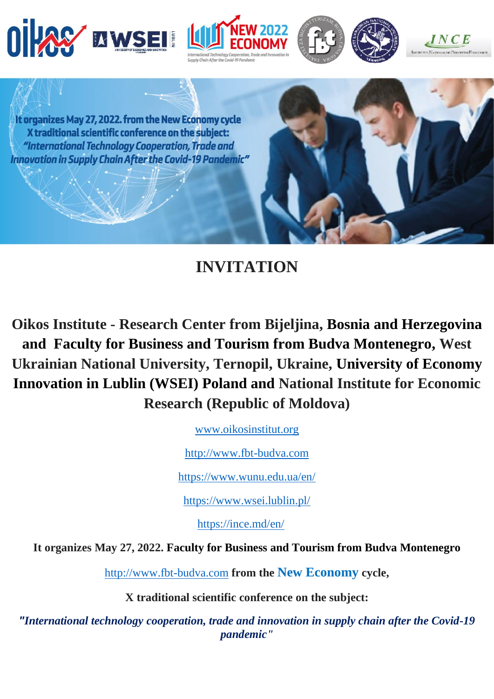







It organizes May 27, 2022. from the New Economy cycle X traditional scientific conference on the subject: "International Technology Cooperation, Trade and **Innovation in Supply Chain After the Covid-19 Pandemic"** 

# **INVITATION**

**Oikos Institute - Research Center from Bijeljina, Bosnia and Herzegovina and Faculty for Business and Tourism from Budva Montenegro, West Ukrainian National University, Ternopil, Ukraine, University of Economy Innovation in Lublin (WSEI) Poland and National Institute for Economic Research (Republic of Moldova)**

[www.oikosinstitut.org](http://www.oikosinstitut.org/)

[http://www.fbt-budva.com](http://www.fbt-budva.com/)

<https://www.wunu.edu.ua/en/>

<https://www.wsei.lublin.pl/>

<https://ince.md/en/>

**It organizes May 27, 2022. Faculty for Business and Tourism from Budva Montenegro**

[http://www.fbt-budva.com](http://www.fbt-budva.com/) **from the New Economy cycle,**

**X traditional scientific conference on the subject:**

*"International technology cooperation, trade and innovation in supply chain after the Covid-19 pandemic"*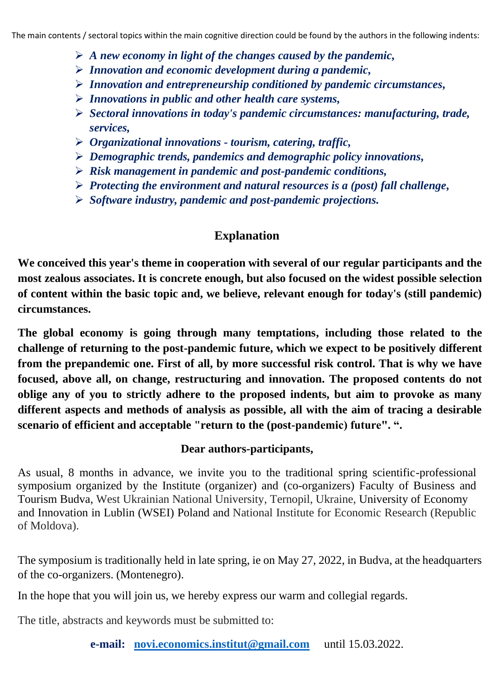The main contents / sectoral topics within the main cognitive direction could be found by the authors in the following indents:

- ➢ *A new economy in light of the changes caused by the pandemic,*
- ➢ *Innovation and economic development during a pandemic,*
- ➢ *Innovation and entrepreneurship conditioned by pandemic circumstances,*
- ➢ *Innovations in public and other health care systems,*
- ➢ *Sectoral innovations in today's pandemic circumstances: manufacturing, trade, services,*
- ➢ *Organizational innovations - tourism, catering, traffic,*
- ➢ *Demographic trends, pandemics and demographic policy innovations,*
- ➢ *Risk management in pandemic and post-pandemic conditions,*
- ➢ *Protecting the environment and natural resources is a (post) fall challenge,*
- ➢ *Software industry, pandemic and post-pandemic projections.*

# **Explanation**

**We conceived this year's theme in cooperation with several of our regular participants and the most zealous associates. It is concrete enough, but also focused on the widest possible selection of content within the basic topic and, we believe, relevant enough for today's (still pandemic) circumstances.**

**The global economy is going through many temptations, including those related to the challenge of returning to the post-pandemic future, which we expect to be positively different from the prepandemic one. First of all, by more successful risk control. That is why we have focused, above all, on change, restructuring and innovation. The proposed contents do not oblige any of you to strictly adhere to the proposed indents, but aim to provoke as many different aspects and methods of analysis as possible, all with the aim of tracing a desirable scenario of efficient and acceptable "return to the (post-pandemic) future". ".**

#### **Dear authors-participants,**

As usual, 8 months in advance, we invite you to the traditional spring scientific-professional symposium organized by the Institute (organizer) and (co-organizers) Faculty of Business and Tourism Budva, West Ukrainian National University, Ternopil, Ukraine, University of Economy and Innovation in Lublin (WSEI) Poland and National Institute for Economic Research (Republic of Moldova).

The symposium is traditionally held in late spring, ie on May 27, 2022, in Budva, at the headquarters of the co-organizers. (Montenegro).

In the hope that you will join us, we hereby express our warm and collegial regards.

The title, abstracts and keywords must be submitted to:

**e-mail: [novi.economics.institut@gmail.com](mailto:novi.economics.institut@gmail.com)** until 15.03.2022.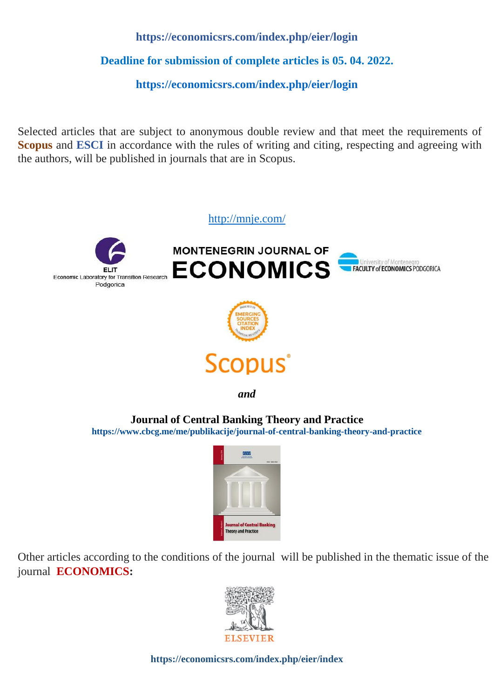## **<https://economicsrs.com/index.php/eier/login>**

**Deadline for submission of complete articles is 05. 04. 2022.**

**<https://economicsrs.com/index.php/eier/login>**

Selected articles that are subject to anonymous double review and that meet the requirements of **Scopus** and **ESCI** in accordance with the rules of writing and citing, respecting and agreeing with the authors, will be published in journals that are in Scopus.



**Journal of Central Banking Theory and Practice**

 **<https://www.cbcg.me/me/publikacije/journal-of-central-banking-theory-and-practice>**



Other articles according to the conditions of the journal will be published in the thematic issue of the journal **ECONOMICS:**



**<https://economicsrs.com/index.php/eier/index>**